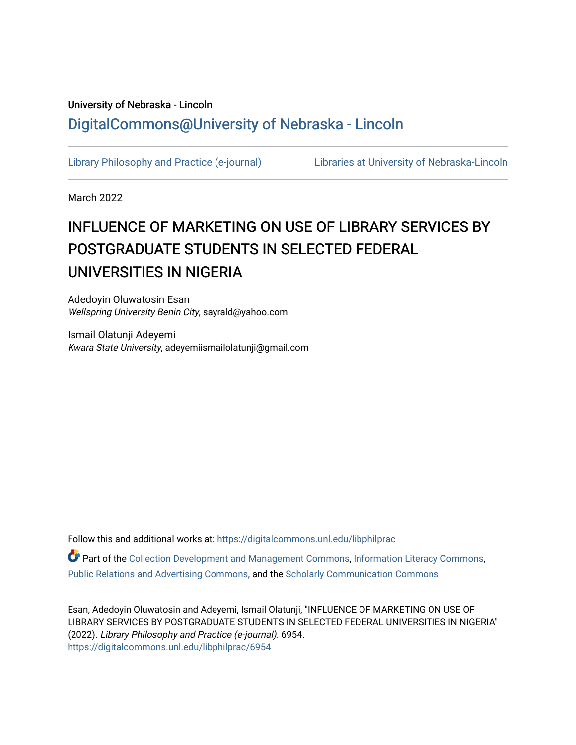## University of Nebraska - Lincoln [DigitalCommons@University of Nebraska - Lincoln](https://digitalcommons.unl.edu/)

[Library Philosophy and Practice \(e-journal\)](https://digitalcommons.unl.edu/libphilprac) [Libraries at University of Nebraska-Lincoln](https://digitalcommons.unl.edu/libraries) 

March 2022

# INFLUENCE OF MARKETING ON USE OF LIBRARY SERVICES BY POSTGRADUATE STUDENTS IN SELECTED FEDERAL UNIVERSITIES IN NIGERIA

Adedoyin Oluwatosin Esan Wellspring University Benin City, sayrald@yahoo.com

Ismail Olatunji Adeyemi Kwara State University, adeyemiismailolatunji@gmail.com

Follow this and additional works at: [https://digitalcommons.unl.edu/libphilprac](https://digitalcommons.unl.edu/libphilprac?utm_source=digitalcommons.unl.edu%2Flibphilprac%2F6954&utm_medium=PDF&utm_campaign=PDFCoverPages) 

Part of the [Collection Development and Management Commons,](http://network.bepress.com/hgg/discipline/1271?utm_source=digitalcommons.unl.edu%2Flibphilprac%2F6954&utm_medium=PDF&utm_campaign=PDFCoverPages) [Information Literacy Commons](http://network.bepress.com/hgg/discipline/1243?utm_source=digitalcommons.unl.edu%2Flibphilprac%2F6954&utm_medium=PDF&utm_campaign=PDFCoverPages), [Public Relations and Advertising Commons,](http://network.bepress.com/hgg/discipline/336?utm_source=digitalcommons.unl.edu%2Flibphilprac%2F6954&utm_medium=PDF&utm_campaign=PDFCoverPages) and the [Scholarly Communication Commons](http://network.bepress.com/hgg/discipline/1272?utm_source=digitalcommons.unl.edu%2Flibphilprac%2F6954&utm_medium=PDF&utm_campaign=PDFCoverPages) 

Esan, Adedoyin Oluwatosin and Adeyemi, Ismail Olatunji, "INFLUENCE OF MARKETING ON USE OF LIBRARY SERVICES BY POSTGRADUATE STUDENTS IN SELECTED FEDERAL UNIVERSITIES IN NIGERIA" (2022). Library Philosophy and Practice (e-journal). 6954. [https://digitalcommons.unl.edu/libphilprac/6954](https://digitalcommons.unl.edu/libphilprac/6954?utm_source=digitalcommons.unl.edu%2Flibphilprac%2F6954&utm_medium=PDF&utm_campaign=PDFCoverPages)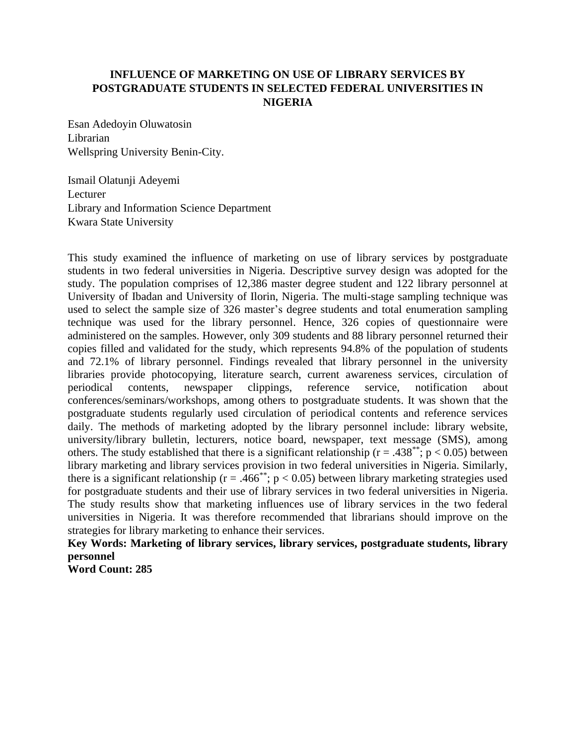## **INFLUENCE OF MARKETING ON USE OF LIBRARY SERVICES BY POSTGRADUATE STUDENTS IN SELECTED FEDERAL UNIVERSITIES IN NIGERIA**

Esan Adedoyin Oluwatosin Librarian Wellspring University Benin-City.

Ismail Olatunji Adeyemi Lecturer Library and Information Science Department Kwara State University

This study examined the influence of marketing on use of library services by postgraduate students in two federal universities in Nigeria. Descriptive survey design was adopted for the study. The population comprises of 12,386 master degree student and 122 library personnel at University of Ibadan and University of Ilorin, Nigeria. The multi-stage sampling technique was used to select the sample size of 326 master's degree students and total enumeration sampling technique was used for the library personnel. Hence, 326 copies of questionnaire were administered on the samples. However, only 309 students and 88 library personnel returned their copies filled and validated for the study, which represents 94.8% of the population of students and 72.1% of library personnel. Findings revealed that library personnel in the university libraries provide photocopying, literature search, current awareness services, circulation of periodical contents, newspaper clippings, reference service, notification about conferences/seminars/workshops, among others to postgraduate students. It was shown that the postgraduate students regularly used circulation of periodical contents and reference services daily. The methods of marketing adopted by the library personnel include: library website, university/library bulletin, lecturers, notice board, newspaper, text message (SMS), among others. The study established that there is a significant relationship ( $r = .438$ <sup>\*\*</sup>; p < 0.05) between library marketing and library services provision in two federal universities in Nigeria. Similarly, there is a significant relationship ( $r = .466^*$ ; p < 0.05) between library marketing strategies used for postgraduate students and their use of library services in two federal universities in Nigeria. The study results show that marketing influences use of library services in the two federal universities in Nigeria. It was therefore recommended that librarians should improve on the strategies for library marketing to enhance their services.

**Key Words: Marketing of library services, library services, postgraduate students, library personnel**

**Word Count: 285**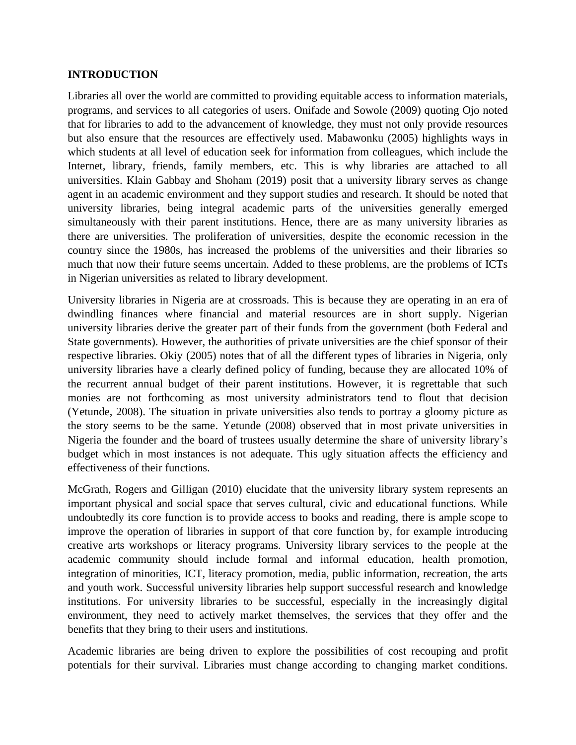### **INTRODUCTION**

Libraries all over the world are committed to providing equitable access to information materials, programs, and services to all categories of users. Onifade and Sowole (2009) quoting Ojo noted that for libraries to add to the advancement of knowledge, they must not only provide resources but also ensure that the resources are effectively used. Mabawonku (2005) highlights ways in which students at all level of education seek for information from colleagues, which include the Internet, library, friends, family members, etc. This is why libraries are attached to all universities. Klain Gabbay and Shoham (2019) posit that a university library serves as change agent in an academic environment and they support studies and research. It should be noted that university libraries, being integral academic parts of the universities generally emerged simultaneously with their parent institutions. Hence, there are as many university libraries as there are universities. The proliferation of universities, despite the economic recession in the country since the 1980s, has increased the problems of the universities and their libraries so much that now their future seems uncertain. Added to these problems, are the problems of ICTs in Nigerian universities as related to library development.

University libraries in Nigeria are at crossroads. This is because they are operating in an era of dwindling finances where financial and material resources are in short supply. Nigerian university libraries derive the greater part of their funds from the government (both Federal and State governments). However, the authorities of private universities are the chief sponsor of their respective libraries. Okiy (2005) notes that of all the different types of libraries in Nigeria, only university libraries have a clearly defined policy of funding, because they are allocated 10% of the recurrent annual budget of their parent institutions. However, it is regrettable that such monies are not forthcoming as most university administrators tend to flout that decision (Yetunde, 2008). The situation in private universities also tends to portray a gloomy picture as the story seems to be the same. Yetunde (2008) observed that in most private universities in Nigeria the founder and the board of trustees usually determine the share of university library's budget which in most instances is not adequate. This ugly situation affects the efficiency and effectiveness of their functions.

McGrath, Rogers and Gilligan (2010) elucidate that the university library system represents an important physical and social space that serves cultural, civic and educational functions. While undoubtedly its core function is to provide access to books and reading, there is ample scope to improve the operation of libraries in support of that core function by, for example introducing creative arts workshops or literacy programs. University library services to the people at the academic community should include formal and informal education, health promotion, integration of minorities, ICT, literacy promotion, media, public information, recreation, the arts and youth work. Successful university libraries help support successful research and knowledge institutions. For university libraries to be successful, especially in the increasingly digital environment, they need to actively market themselves, the services that they offer and the benefits that they bring to their users and institutions.

Academic libraries are being driven to explore the possibilities of cost recouping and profit potentials for their survival. Libraries must change according to changing market conditions.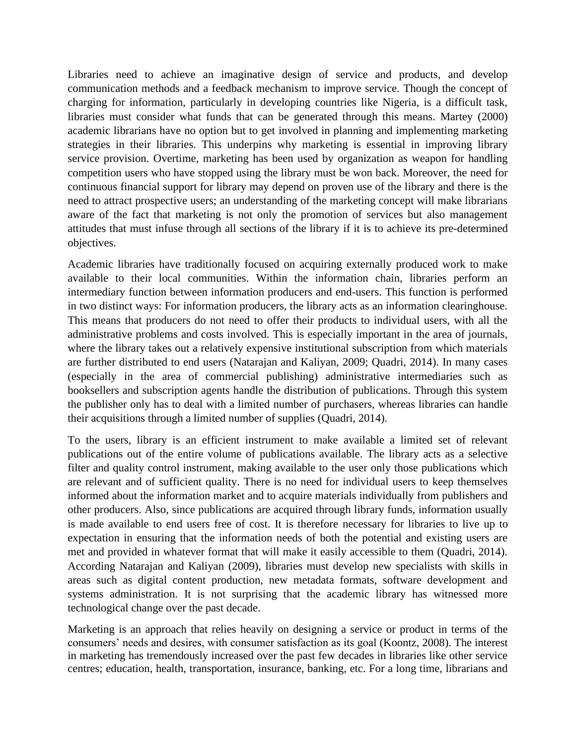Libraries need to achieve an imaginative design of service and products, and develop communication methods and a feedback mechanism to improve service. Though the concept of charging for information, particularly in developing countries like Nigeria, is a difficult task, libraries must consider what funds that can be generated through this means. Martey (2000) academic librarians have no option but to get involved in planning and implementing marketing strategies in their libraries. This underpins why marketing is essential in improving library service provision. Overtime, marketing has been used by organization as weapon for handling competition users who have stopped using the library must be won back. Moreover, the need for continuous financial support for library may depend on proven use of the library and there is the need to attract prospective users; an understanding of the marketing concept will make librarians aware of the fact that marketing is not only the promotion of services but also management attitudes that must infuse through all sections of the library if it is to achieve its pre-determined objectives.

Academic libraries have traditionally focused on acquiring externally produced work to make available to their local communities. Within the information chain, libraries perform an intermediary function between information producers and end-users. This function is performed in two distinct ways: For information producers, the library acts as an information clearinghouse. This means that producers do not need to offer their products to individual users, with all the administrative problems and costs involved. This is especially important in the area of journals, where the library takes out a relatively expensive institutional subscription from which materials are further distributed to end users (Natarajan and Kaliyan, 2009; Quadri, 2014). In many cases (especially in the area of commercial publishing) administrative intermediaries such as booksellers and subscription agents handle the distribution of publications. Through this system the publisher only has to deal with a limited number of purchasers, whereas libraries can handle their acquisitions through a limited number of supplies (Quadri, 2014).

To the users, library is an efficient instrument to make available a limited set of relevant publications out of the entire volume of publications available. The library acts as a selective filter and quality control instrument, making available to the user only those publications which are relevant and of sufficient quality. There is no need for individual users to keep themselves informed about the information market and to acquire materials individually from publishers and other producers. Also, since publications are acquired through library funds, information usually is made available to end users free of cost. It is therefore necessary for libraries to live up to expectation in ensuring that the information needs of both the potential and existing users are met and provided in whatever format that will make it easily accessible to them (Quadri, 2014). According Natarajan and Kaliyan (2009), libraries must develop new specialists with skills in areas such as digital content production, new metadata formats, software development and systems administration. It is not surprising that the academic library has witnessed more technological change over the past decade.

Marketing is an approach that relies heavily on designing a service or product in terms of the consumers' needs and desires, with consumer satisfaction as its goal (Koontz, 2008). The interest in marketing has tremendously increased over the past few decades in libraries like other service centres; education, health, transportation, insurance, banking, etc. For a long time, librarians and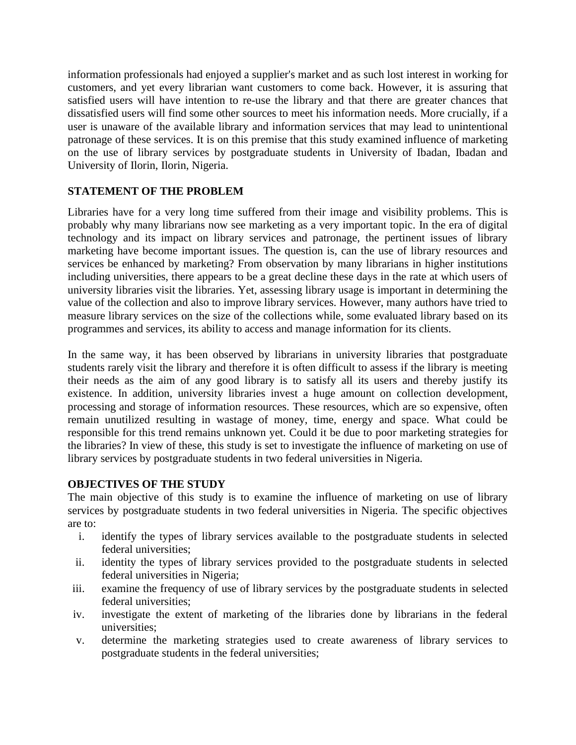information professionals had enjoyed a supplier's market and as such lost interest in working for customers, and yet every librarian want customers to come back. However, it is assuring that satisfied users will have intention to re-use the library and that there are greater chances that dissatisfied users will find some other sources to meet his information needs. More crucially, if a user is unaware of the available library and information services that may lead to unintentional patronage of these services. It is on this premise that this study examined influence of marketing on the use of library services by postgraduate students in University of Ibadan, Ibadan and University of Ilorin, Ilorin, Nigeria.

## **STATEMENT OF THE PROBLEM**

Libraries have for a very long time suffered from their image and visibility problems. This is probably why many librarians now see marketing as a very important topic. In the era of digital technology and its impact on library services and patronage, the pertinent issues of library marketing have become important issues. The question is, can the use of library resources and services be enhanced by marketing? From observation by many librarians in higher institutions including universities, there appears to be a great decline these days in the rate at which users of university libraries visit the libraries. Yet, assessing library usage is important in determining the value of the collection and also to improve library services. However, many authors have tried to measure library services on the size of the collections while, some evaluated library based on its programmes and services, its ability to access and manage information for its clients.

In the same way, it has been observed by librarians in university libraries that postgraduate students rarely visit the library and therefore it is often difficult to assess if the library is meeting their needs as the aim of any good library is to satisfy all its users and thereby justify its existence. In addition, university libraries invest a huge amount on collection development, processing and storage of information resources. These resources, which are so expensive, often remain unutilized resulting in wastage of money, time, energy and space. What could be responsible for this trend remains unknown yet. Could it be due to poor marketing strategies for the libraries? In view of these, this study is set to investigate the influence of marketing on use of library services by postgraduate students in two federal universities in Nigeria.

### **OBJECTIVES OF THE STUDY**

The main objective of this study is to examine the influence of marketing on use of library services by postgraduate students in two federal universities in Nigeria. The specific objectives are to:

- i. identify the types of library services available to the postgraduate students in selected federal universities;
- ii. identity the types of library services provided to the postgraduate students in selected federal universities in Nigeria;
- iii. examine the frequency of use of library services by the postgraduate students in selected federal universities;
- iv. investigate the extent of marketing of the libraries done by librarians in the federal universities;
- v. determine the marketing strategies used to create awareness of library services to postgraduate students in the federal universities;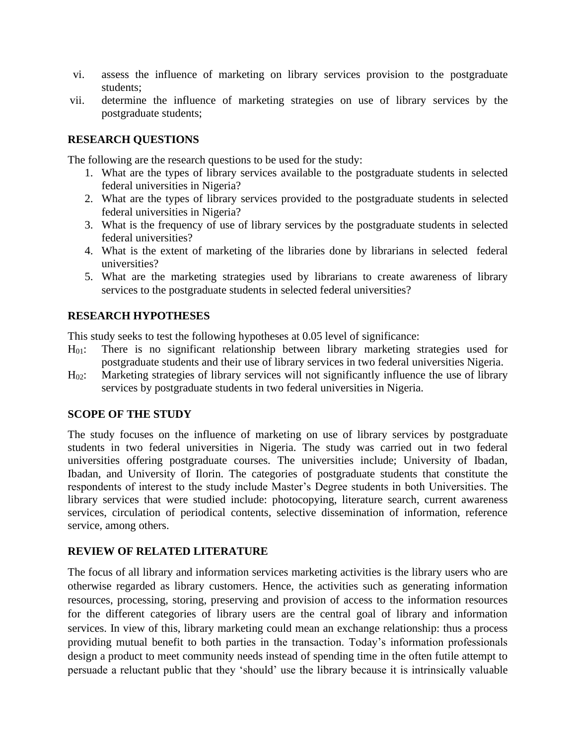- vi. assess the influence of marketing on library services provision to the postgraduate students;
- vii. determine the influence of marketing strategies on use of library services by the postgraduate students;

#### **RESEARCH QUESTIONS**

The following are the research questions to be used for the study:

- 1. What are the types of library services available to the postgraduate students in selected federal universities in Nigeria?
- 2. What are the types of library services provided to the postgraduate students in selected federal universities in Nigeria?
- 3. What is the frequency of use of library services by the postgraduate students in selected federal universities?
- 4. What is the extent of marketing of the libraries done by librarians in selected federal universities?
- 5. What are the marketing strategies used by librarians to create awareness of library services to the postgraduate students in selected federal universities?

#### **RESEARCH HYPOTHESES**

This study seeks to test the following hypotheses at 0.05 level of significance:

- H01: There is no significant relationship between library marketing strategies used for postgraduate students and their use of library services in two federal universities Nigeria.
- $H_{02}$ : Marketing strategies of library services will not significantly influence the use of library services by postgraduate students in two federal universities in Nigeria.

#### **SCOPE OF THE STUDY**

The study focuses on the influence of marketing on use of library services by postgraduate students in two federal universities in Nigeria. The study was carried out in two federal universities offering postgraduate courses. The universities include; University of Ibadan, Ibadan, and University of Ilorin. The categories of postgraduate students that constitute the respondents of interest to the study include Master's Degree students in both Universities. The library services that were studied include: photocopying, literature search, current awareness services, circulation of periodical contents, selective dissemination of information, reference service, among others.

### **REVIEW OF RELATED LITERATURE**

The focus of all library and information services marketing activities is the library users who are otherwise regarded as library customers. Hence, the activities such as generating information resources, processing, storing, preserving and provision of access to the information resources for the different categories of library users are the central goal of library and information services. In view of this, library marketing could mean an exchange relationship: thus a process providing mutual benefit to both parties in the transaction. Today's information professionals design a product to meet community needs instead of spending time in the often futile attempt to persuade a reluctant public that they 'should' use the library because it is intrinsically valuable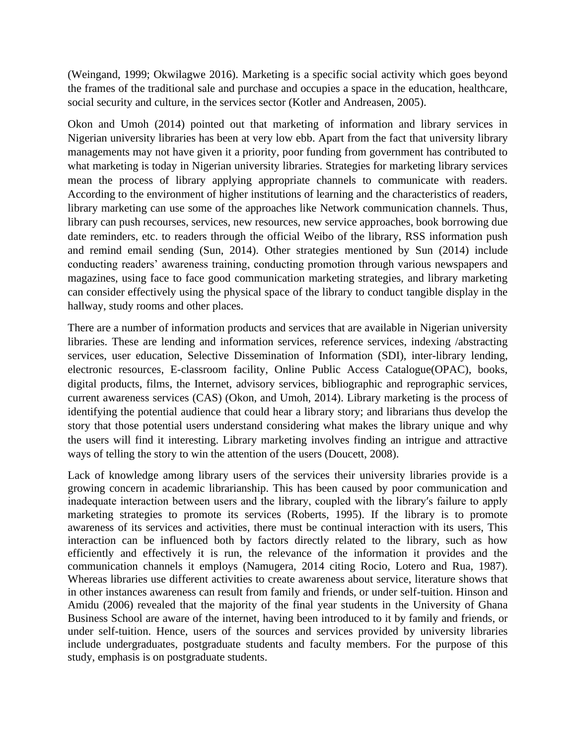(Weingand, 1999; Okwilagwe 2016). Marketing is a specific social activity which goes beyond the frames of the traditional sale and purchase and occupies a space in the education, healthcare, social security and culture, in the services sector (Kotler and Andreasen, 2005).

Okon and Umoh (2014) pointed out that marketing of information and library services in Nigerian university libraries has been at very low ebb. Apart from the fact that university library managements may not have given it a priority, poor funding from government has contributed to what marketing is today in Nigerian university libraries. Strategies for marketing library services mean the process of library applying appropriate channels to communicate with readers. According to the environment of higher institutions of learning and the characteristics of readers, library marketing can use some of the approaches like Network communication channels. Thus, library can push recourses, services, new resources, new service approaches, book borrowing due date reminders, etc. to readers through the official Weibo of the library, RSS information push and remind email sending (Sun, 2014). Other strategies mentioned by Sun (2014) include conducting readers' awareness training, conducting promotion through various newspapers and magazines, using face to face good communication marketing strategies, and library marketing can consider effectively using the physical space of the library to conduct tangible display in the hallway, study rooms and other places.

There are a number of information products and services that are available in Nigerian university libraries. These are lending and information services, reference services, indexing /abstracting services, user education, Selective Dissemination of Information (SDI), inter-library lending, electronic resources, E-classroom facility, Online Public Access Catalogue(OPAC), books, digital products, films, the Internet, advisory services, bibliographic and reprographic services, current awareness services (CAS) (Okon, and Umoh, 2014). Library marketing is the process of identifying the potential audience that could hear a library story; and librarians thus develop the story that those potential users understand considering what makes the library unique and why the users will find it interesting. Library marketing involves finding an intrigue and attractive ways of telling the story to win the attention of the users (Doucett, 2008).

Lack of knowledge among library users of the services their university libraries provide is a growing concern in academic librarianship. This has been caused by poor communication and inadequate interaction between users and the library, coupled with the library′s failure to apply marketing strategies to promote its services (Roberts, 1995). If the library is to promote awareness of its services and activities, there must be continual interaction with its users, This interaction can be influenced both by factors directly related to the library, such as how efficiently and effectively it is run, the relevance of the information it provides and the communication channels it employs (Namugera, 2014 citing Rocio, Lotero and Rua, 1987). Whereas libraries use different activities to create awareness about service, literature shows that in other instances awareness can result from family and friends, or under self-tuition. Hinson and Amidu (2006) revealed that the majority of the final year students in the University of Ghana Business School are aware of the internet, having been introduced to it by family and friends, or under self-tuition. Hence, users of the sources and services provided by university libraries include undergraduates, postgraduate students and faculty members. For the purpose of this study, emphasis is on postgraduate students.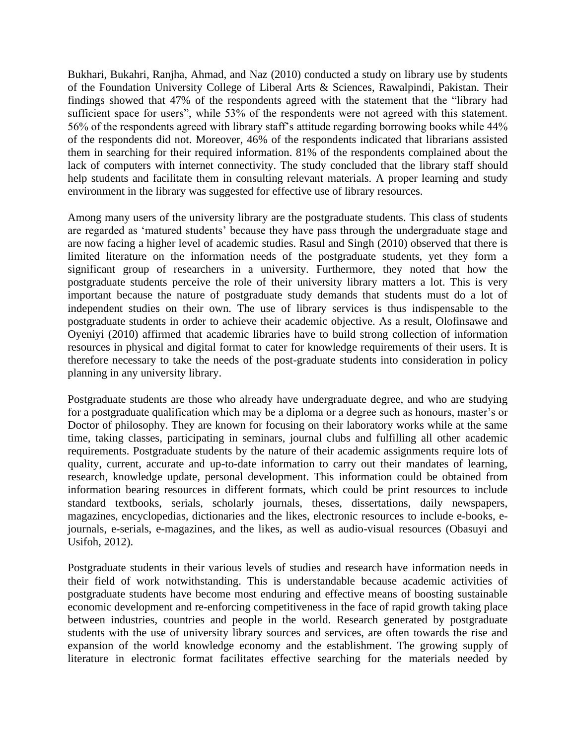Bukhari, Bukahri, Ranjha, Ahmad, and Naz (2010) conducted a study on library use by students of the Foundation University College of Liberal Arts & Sciences, Rawalpindi, Pakistan. Their findings showed that 47% of the respondents agreed with the statement that the "library had sufficient space for users", while 53% of the respondents were not agreed with this statement. 56% of the respondents agreed with library staff's attitude regarding borrowing books while 44% of the respondents did not. Moreover, 46% of the respondents indicated that librarians assisted them in searching for their required information. 81% of the respondents complained about the lack of computers with internet connectivity. The study concluded that the library staff should help students and facilitate them in consulting relevant materials. A proper learning and study environment in the library was suggested for effective use of library resources.

Among many users of the university library are the postgraduate students. This class of students are regarded as 'matured students' because they have pass through the undergraduate stage and are now facing a higher level of academic studies. Rasul and Singh (2010) observed that there is limited literature on the information needs of the postgraduate students, yet they form a significant group of researchers in a university. Furthermore, they noted that how the postgraduate students perceive the role of their university library matters a lot. This is very important because the nature of postgraduate study demands that students must do a lot of independent studies on their own. The use of library services is thus indispensable to the postgraduate students in order to achieve their academic objective. As a result, Olofinsawe and Oyeniyi (2010) affirmed that academic libraries have to build strong collection of information resources in physical and digital format to cater for knowledge requirements of their users. It is therefore necessary to take the needs of the post-graduate students into consideration in policy planning in any university library.

Postgraduate students are those who already have undergraduate degree, and who are studying for a postgraduate qualification which may be a diploma or a degree such as honours, master's or Doctor of philosophy. They are known for focusing on their laboratory works while at the same time, taking classes, participating in seminars, journal clubs and fulfilling all other academic requirements. Postgraduate students by the nature of their academic assignments require lots of quality, current, accurate and up-to-date information to carry out their mandates of learning, research, knowledge update, personal development. This information could be obtained from information bearing resources in different formats, which could be print resources to include standard textbooks, serials, scholarly journals, theses, dissertations, daily newspapers, magazines, encyclopedias, dictionaries and the likes, electronic resources to include e-books, ejournals, e-serials, e-magazines, and the likes, as well as audio-visual resources (Obasuyi and Usifoh, 2012).

Postgraduate students in their various levels of studies and research have information needs in their field of work notwithstanding. This is understandable because academic activities of postgraduate students have become most enduring and effective means of boosting sustainable economic development and re-enforcing competitiveness in the face of rapid growth taking place between industries, countries and people in the world. Research generated by postgraduate students with the use of university library sources and services, are often towards the rise and expansion of the world knowledge economy and the establishment. The growing supply of literature in electronic format facilitates effective searching for the materials needed by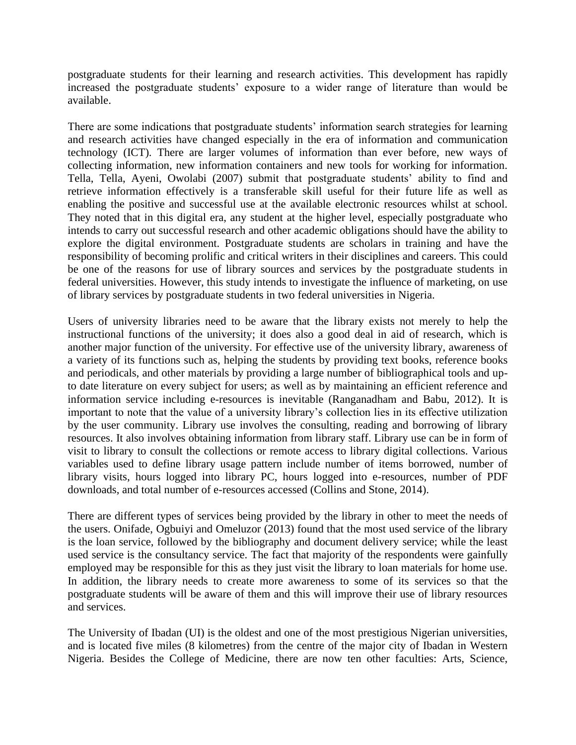postgraduate students for their learning and research activities. This development has rapidly increased the postgraduate students' exposure to a wider range of literature than would be available.

There are some indications that postgraduate students' information search strategies for learning and research activities have changed especially in the era of information and communication technology (ICT). There are larger volumes of information than ever before, new ways of collecting information, new information containers and new tools for working for information. Tella, Tella, Ayeni, Owolabi (2007) submit that postgraduate students' ability to find and retrieve information effectively is a transferable skill useful for their future life as well as enabling the positive and successful use at the available electronic resources whilst at school. They noted that in this digital era, any student at the higher level, especially postgraduate who intends to carry out successful research and other academic obligations should have the ability to explore the digital environment. Postgraduate students are scholars in training and have the responsibility of becoming prolific and critical writers in their disciplines and careers. This could be one of the reasons for use of library sources and services by the postgraduate students in federal universities. However, this study intends to investigate the influence of marketing, on use of library services by postgraduate students in two federal universities in Nigeria.

Users of university libraries need to be aware that the library exists not merely to help the instructional functions of the university; it does also a good deal in aid of research, which is another major function of the university. For effective use of the university library, awareness of a variety of its functions such as, helping the students by providing text books, reference books and periodicals, and other materials by providing a large number of bibliographical tools and upto date literature on every subject for users; as well as by maintaining an efficient reference and information service including e-resources is inevitable (Ranganadham and Babu, 2012). It is important to note that the value of a university library's collection lies in its effective utilization by the user community. Library use involves the consulting, reading and borrowing of library resources. It also involves obtaining information from library staff. Library use can be in form of visit to library to consult the collections or remote access to library digital collections. Various variables used to define library usage pattern include number of items borrowed, number of library visits, hours logged into library PC, hours logged into e-resources, number of PDF downloads, and total number of e-resources accessed (Collins and Stone, 2014).

There are different types of services being provided by the library in other to meet the needs of the users. Onifade, Ogbuiyi and Omeluzor (2013) found that the most used service of the library is the loan service, followed by the bibliography and document delivery service; while the least used service is the consultancy service. The fact that majority of the respondents were gainfully employed may be responsible for this as they just visit the library to loan materials for home use. In addition, the library needs to create more awareness to some of its services so that the postgraduate students will be aware of them and this will improve their use of library resources and services.

The University of Ibadan (UI) is the oldest and one of the most prestigious Nigerian universities, and is located five miles (8 kilometres) from the centre of the major city of Ibadan in Western Nigeria. Besides the College of Medicine, there are now ten other faculties: Arts, Science,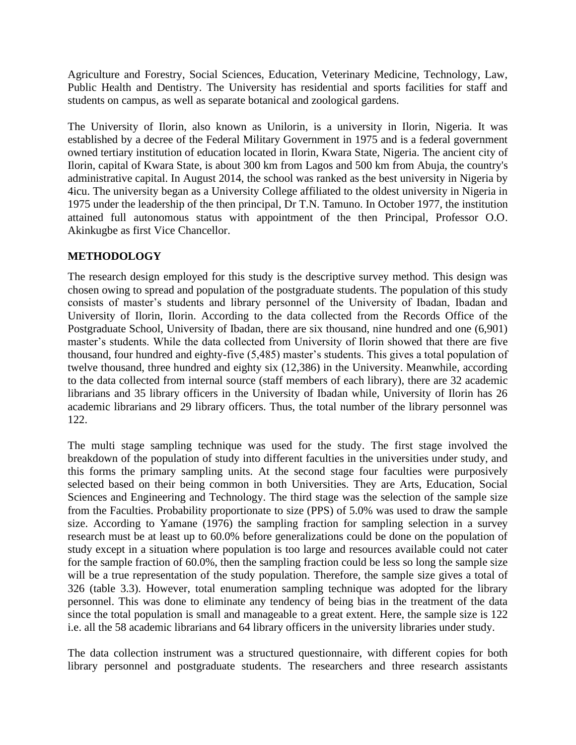Agriculture and Forestry, Social Sciences, Education, Veterinary Medicine, Technology, Law, Public Health and Dentistry. The University has residential and sports facilities for staff and students on campus, as well as separate botanical and zoological gardens.

The University of Ilorin, also known as Unilorin, is a university in Ilorin, Nigeria. It was established by a decree of the Federal Military Government in 1975 and is a federal government owned tertiary institution of education located in Ilorin, Kwara State, Nigeria. The ancient city of Ilorin, capital of Kwara State, is about 300 km from Lagos and 500 km from Abuja, the country's administrative capital. In August 2014, the school was ranked as the best university in Nigeria by 4icu. The university began as a University College affiliated to the oldest university in Nigeria in 1975 under the leadership of the then principal, Dr T.N. Tamuno. In October 1977, the institution attained full autonomous status with appointment of the then Principal, Professor O.O. Akinkugbe as first Vice Chancellor.

### **METHODOLOGY**

The research design employed for this study is the descriptive survey method. This design was chosen owing to spread and population of the postgraduate students. The population of this study consists of master's students and library personnel of the University of Ibadan, Ibadan and University of Ilorin, Ilorin. According to the data collected from the Records Office of the Postgraduate School, University of Ibadan, there are six thousand, nine hundred and one (6,901) master's students. While the data collected from University of Ilorin showed that there are five thousand, four hundred and eighty-five (5,485) master's students. This gives a total population of twelve thousand, three hundred and eighty six (12,386) in the University. Meanwhile, according to the data collected from internal source (staff members of each library), there are 32 academic librarians and 35 library officers in the University of Ibadan while, University of Ilorin has 26 academic librarians and 29 library officers. Thus, the total number of the library personnel was 122.

The multi stage sampling technique was used for the study. The first stage involved the breakdown of the population of study into different faculties in the universities under study, and this forms the primary sampling units. At the second stage four faculties were purposively selected based on their being common in both Universities. They are Arts, Education, Social Sciences and Engineering and Technology. The third stage was the selection of the sample size from the Faculties. Probability proportionate to size (PPS) of 5.0% was used to draw the sample size. According to Yamane (1976) the sampling fraction for sampling selection in a survey research must be at least up to 60.0% before generalizations could be done on the population of study except in a situation where population is too large and resources available could not cater for the sample fraction of 60.0%, then the sampling fraction could be less so long the sample size will be a true representation of the study population. Therefore, the sample size gives a total of 326 (table 3.3). However, total enumeration sampling technique was adopted for the library personnel. This was done to eliminate any tendency of being bias in the treatment of the data since the total population is small and manageable to a great extent. Here, the sample size is 122 i.e. all the 58 academic librarians and 64 library officers in the university libraries under study.

The data collection instrument was a structured questionnaire, with different copies for both library personnel and postgraduate students. The researchers and three research assistants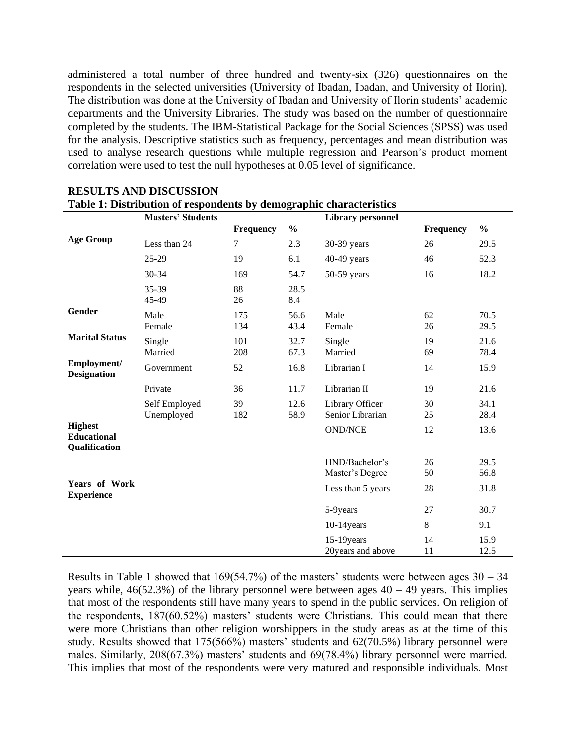administered a total number of three hundred and twenty-six (326) questionnaires on the respondents in the selected universities (University of Ibadan, Ibadan, and University of Ilorin). The distribution was done at the University of Ibadan and University of Ilorin students' academic departments and the University Libraries. The study was based on the number of questionnaire completed by the students. The IBM-Statistical Package for the Social Sciences (SPSS) was used for the analysis. Descriptive statistics such as frequency, percentages and mean distribution was used to analyse research questions while multiple regression and Pearson's product moment correlation were used to test the null hypotheses at 0.05 level of significance.

|                                                       | <b>Masters' Students</b>    |            |               | <b>Library personnel</b>            |           |               |
|-------------------------------------------------------|-----------------------------|------------|---------------|-------------------------------------|-----------|---------------|
|                                                       |                             | Frequency  | $\frac{0}{0}$ |                                     | Frequency | $\frac{0}{0}$ |
| <b>Age Group</b>                                      | Less than 24                | 7          | 2.3           | 30-39 years                         | 26        | 29.5          |
|                                                       | $25-29$                     | 19         | 6.1           | $40-49$ years                       | 46        | 52.3          |
|                                                       | 30-34                       | 169        | 54.7          | $50-59$ years                       | 16        | 18.2          |
|                                                       | 35-39<br>45-49              | 88<br>26   | 28.5<br>8.4   |                                     |           |               |
| Gender                                                | Male<br>Female              | 175<br>134 | 56.6<br>43.4  | Male<br>Female                      | 62<br>26  | 70.5<br>29.5  |
| <b>Marital Status</b>                                 | Single<br>Married           | 101<br>208 | 32.7<br>67.3  | Single<br>Married                   | 19<br>69  | 21.6<br>78.4  |
| Employment/<br><b>Designation</b>                     | Government                  | 52         | 16.8          | Librarian I                         | 14        | 15.9          |
|                                                       | Private                     | 36         | 11.7          | Librarian II                        | 19        | 21.6          |
|                                                       | Self Employed<br>Unemployed | 39<br>182  | 12.6<br>58.9  | Library Officer<br>Senior Librarian | 30<br>25  | 34.1<br>28.4  |
| <b>Highest</b><br><b>Educational</b><br>Qualification |                             |            |               | <b>OND/NCE</b>                      | 12        | 13.6          |
|                                                       |                             |            |               | HND/Bachelor's<br>Master's Degree   | 26<br>50  | 29.5<br>56.8  |
| Years of Work<br><b>Experience</b>                    |                             |            |               | Less than 5 years                   | 28        | 31.8          |
|                                                       |                             |            |               | 5-9years                            | 27        | 30.7          |
|                                                       |                             |            |               | $10-14$ years                       | 8         | 9.1           |
|                                                       |                             |            |               | $15-19$ years<br>20 years and above | 14<br>11  | 15.9<br>12.5  |

#### **RESULTS AND DISCUSSION Table 1: Distribution of respondents by demographic characteristics**

Results in Table 1 showed that 169(54.7%) of the masters' students were between ages 30 – 34 years while,  $46(52.3%)$  of the library personnel were between ages  $40 - 49$  years. This implies that most of the respondents still have many years to spend in the public services. On religion of the respondents, 187(60.52%) masters' students were Christians. This could mean that there were more Christians than other religion worshippers in the study areas as at the time of this study. Results showed that 175(566%) masters' students and 62(70.5%) library personnel were males. Similarly, 208(67.3%) masters' students and 69(78.4%) library personnel were married. This implies that most of the respondents were very matured and responsible individuals. Most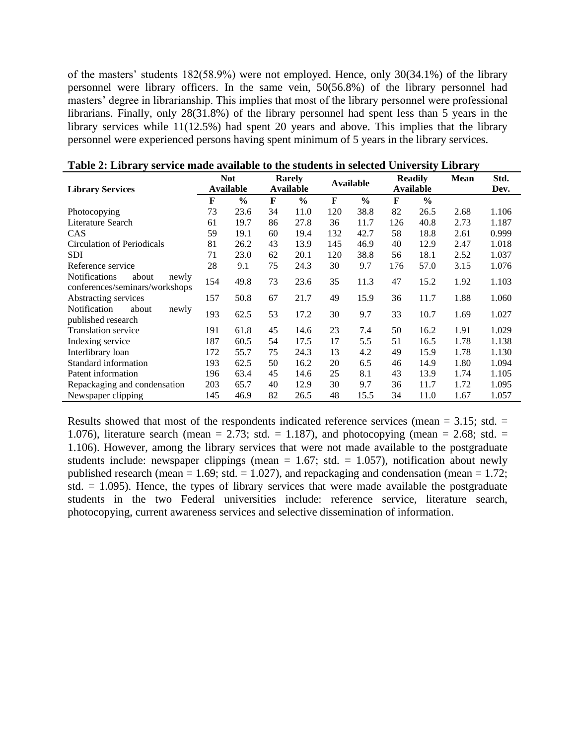of the masters' students 182(58.9%) were not employed. Hence, only 30(34.1%) of the library personnel were library officers. In the same vein, 50(56.8%) of the library personnel had masters' degree in librarianship. This implies that most of the library personnel were professional librarians. Finally, only 28(31.8%) of the library personnel had spent less than 5 years in the library services while 11(12.5%) had spent 20 years and above. This implies that the library personnel were experienced persons having spent minimum of 5 years in the library services.

|                                                                   | <b>Not</b> |                  |    | <b>Rarely</b> |     | <b>Available</b> | <b>Readily</b> |               | Mean | Std.  |
|-------------------------------------------------------------------|------------|------------------|----|---------------|-----|------------------|----------------|---------------|------|-------|
| <b>Library Services</b>                                           |            | <b>Available</b> |    | Available     |     |                  |                | Available     |      | Dev.  |
|                                                                   | F          | $\frac{0}{0}$    | F  | $\frac{0}{0}$ | F   | $\frac{6}{9}$    | F              | $\frac{6}{6}$ |      |       |
| Photocopying                                                      | 73         | 23.6             | 34 | 11.0          | 120 | 38.8             | 82             | 26.5          | 2.68 | 1.106 |
| Literature Search                                                 | 61         | 19.7             | 86 | 27.8          | 36  | 11.7             | 126            | 40.8          | 2.73 | 1.187 |
| <b>CAS</b>                                                        | 59         | 19.1             | 60 | 19.4          | 132 | 42.7             | 58             | 18.8          | 2.61 | 0.999 |
| Circulation of Periodicals                                        | 81         | 26.2             | 43 | 13.9          | 145 | 46.9             | 40             | 12.9          | 2.47 | 1.018 |
| <b>SDI</b>                                                        | 71         | 23.0             | 62 | 20.1          | 120 | 38.8             | 56             | 18.1          | 2.52 | 1.037 |
| Reference service                                                 | 28         | 9.1              | 75 | 24.3          | 30  | 9.7              | 176            | 57.0          | 3.15 | 1.076 |
| Notifications<br>about<br>newly<br>conferences/seminars/workshops | 154        | 49.8             | 73 | 23.6          | 35  | 11.3             | 47             | 15.2          | 1.92 | 1.103 |
| Abstracting services                                              | 157        | 50.8             | 67 | 21.7          | 49  | 15.9             | 36             | 11.7          | 1.88 | 1.060 |
| Notification<br>about<br>newly<br>published research              | 193        | 62.5             | 53 | 17.2          | 30  | 9.7              | 33             | 10.7          | 1.69 | 1.027 |
| <b>Translation service</b>                                        | 191        | 61.8             | 45 | 14.6          | 23  | 7.4              | 50             | 16.2          | 1.91 | 1.029 |
| Indexing service                                                  | 187        | 60.5             | 54 | 17.5          | 17  | 5.5              | 51             | 16.5          | 1.78 | 1.138 |
| Interlibrary loan                                                 | 172        | 55.7             | 75 | 24.3          | 13  | 4.2              | 49             | 15.9          | 1.78 | 1.130 |
| Standard information                                              | 193        | 62.5             | 50 | 16.2          | 20  | 6.5              | 46             | 14.9          | 1.80 | 1.094 |
| Patent information                                                | 196        | 63.4             | 45 | 14.6          | 25  | 8.1              | 43             | 13.9          | 1.74 | 1.105 |
| Repackaging and condensation                                      | 203        | 65.7             | 40 | 12.9          | 30  | 9.7              | 36             | 11.7          | 1.72 | 1.095 |
| Newspaper clipping                                                | 145        | 46.9             | 82 | 26.5          | 48  | 15.5             | 34             | 11.0          | 1.67 | 1.057 |

|  |  |  |  |  | Table 2: Library service made available to the students in selected University Library |  |
|--|--|--|--|--|----------------------------------------------------------------------------------------|--|
|  |  |  |  |  |                                                                                        |  |

Results showed that most of the respondents indicated reference services (mean  $= 3.15$ ; std.  $=$ 1.076), literature search (mean = 2.73; std. = 1.187), and photocopying (mean = 2.68; std. = 1.106). However, among the library services that were not made available to the postgraduate students include: newspaper clippings (mean  $= 1.67$ ; std.  $= 1.057$ ), notification about newly published research (mean  $= 1.69$ ; std.  $= 1.027$ ), and repackaging and condensation (mean  $= 1.72$ ; std.  $= 1.095$ ). Hence, the types of library services that were made available the postgraduate students in the two Federal universities include: reference service, literature search, photocopying, current awareness services and selective dissemination of information.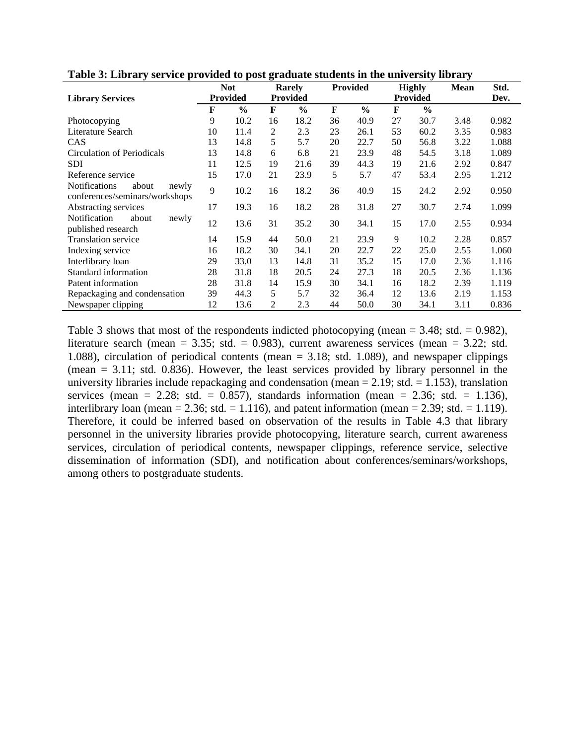|                                                                   |                 | <b>Not</b>    |    | <b>Rarely</b>   |    | <b>Provided</b> |    | <b>Highly</b>   | <b>Mean</b> | Std.  |
|-------------------------------------------------------------------|-----------------|---------------|----|-----------------|----|-----------------|----|-----------------|-------------|-------|
| <b>Library Services</b>                                           | <b>Provided</b> |               |    | <b>Provided</b> |    |                 |    | <b>Provided</b> |             | Dev.  |
|                                                                   | F               | $\frac{0}{0}$ | F  | $\frac{6}{9}$   | F  | $\frac{0}{0}$   | F  | $\frac{6}{6}$   |             |       |
| Photocopying                                                      | 9               | 10.2          | 16 | 18.2            | 36 | 40.9            | 27 | 30.7            | 3.48        | 0.982 |
| Literature Search                                                 | 10              | 11.4          | 2  | 2.3             | 23 | 26.1            | 53 | 60.2            | 3.35        | 0.983 |
| CAS                                                               | 13              | 14.8          | 5  | 5.7             | 20 | 22.7            | 50 | 56.8            | 3.22        | 1.088 |
| Circulation of Periodicals                                        | 13              | 14.8          | 6  | 6.8             | 21 | 23.9            | 48 | 54.5            | 3.18        | 1.089 |
| <b>SDI</b>                                                        | 11              | 12.5          | 19 | 21.6            | 39 | 44.3            | 19 | 21.6            | 2.92        | 0.847 |
| Reference service                                                 | 15              | 17.0          | 21 | 23.9            | 5  | 5.7             | 47 | 53.4            | 2.95        | 1.212 |
| Notifications<br>about<br>newly<br>conferences/seminars/workshops | 9               | 10.2          | 16 | 18.2            | 36 | 40.9            | 15 | 24.2            | 2.92        | 0.950 |
| Abstracting services                                              | 17              | 19.3          | 16 | 18.2            | 28 | 31.8            | 27 | 30.7            | 2.74        | 1.099 |
| Notification<br>about<br>newly<br>published research              | 12              | 13.6          | 31 | 35.2            | 30 | 34.1            | 15 | 17.0            | 2.55        | 0.934 |
| <b>Translation service</b>                                        | 14              | 15.9          | 44 | 50.0            | 21 | 23.9            | 9  | 10.2            | 2.28        | 0.857 |
| Indexing service                                                  | 16              | 18.2          | 30 | 34.1            | 20 | 22.7            | 22 | 25.0            | 2.55        | 1.060 |
| Interlibrary loan                                                 | 29              | 33.0          | 13 | 14.8            | 31 | 35.2            | 15 | 17.0            | 2.36        | 1.116 |
| Standard information                                              | 28              | 31.8          | 18 | 20.5            | 24 | 27.3            | 18 | 20.5            | 2.36        | 1.136 |
| Patent information                                                | 28              | 31.8          | 14 | 15.9            | 30 | 34.1            | 16 | 18.2            | 2.39        | 1.119 |
| Repackaging and condensation                                      | 39              | 44.3          | 5  | 5.7             | 32 | 36.4            | 12 | 13.6            | 2.19        | 1.153 |
| Newspaper clipping                                                | 12              | 13.6          | 2  | 2.3             | 44 | 50.0            | 30 | 34.1            | 3.11        | 0.836 |

**Table 3: Library service provided to post graduate students in the university library**

Table 3 shows that most of the respondents indicted photocopying (mean  $= 3.48$ ; std.  $= 0.982$ ), literature search (mean = 3.35; std. = 0.983), current awareness services (mean = 3.22; std. 1.088), circulation of periodical contents (mean = 3.18; std. 1.089), and newspaper clippings (mean  $= 3.11$ ; std. 0.836). However, the least services provided by library personnel in the university libraries include repackaging and condensation (mean  $= 2.19$ ; std.  $= 1.153$ ), translation services (mean = 2.28; std. = 0.857), standards information (mean = 2.36; std. = 1.136), interlibrary loan (mean = 2.36; std. = 1.116), and patent information (mean = 2.39; std. = 1.119). Therefore, it could be inferred based on observation of the results in Table 4.3 that library personnel in the university libraries provide photocopying, literature search, current awareness services, circulation of periodical contents, newspaper clippings, reference service, selective dissemination of information (SDI), and notification about conferences/seminars/workshops, among others to postgraduate students.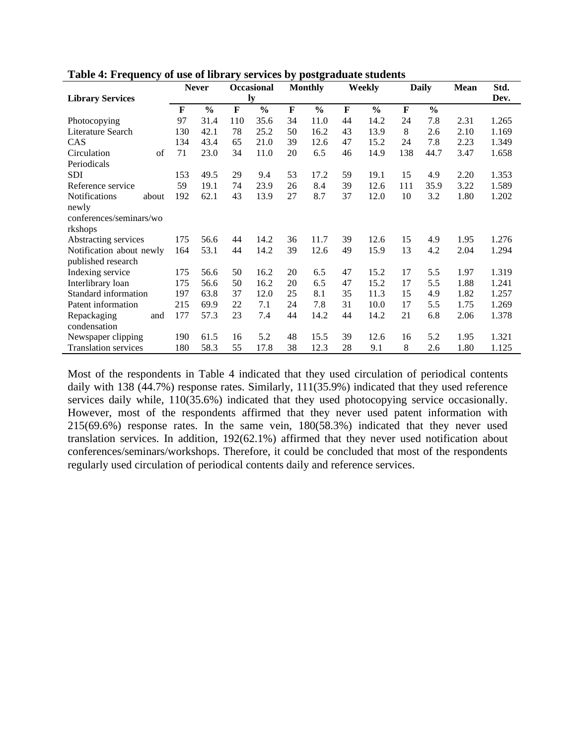|                             |     |     | <b>Never</b>  |     | <b>Occasional</b> |    | <b>Monthly</b> |    | Weekly        |              | <b>Daily</b>  | <b>Mean</b> | Std.  |
|-----------------------------|-----|-----|---------------|-----|-------------------|----|----------------|----|---------------|--------------|---------------|-------------|-------|
| <b>Library Services</b>     |     |     |               |     | ly                |    |                |    |               |              |               |             | Dev.  |
|                             |     | F   | $\frac{0}{0}$ | F   | $\frac{6}{6}$     | F  | $\frac{0}{0}$  | F  | $\frac{0}{0}$ | $\mathbf{F}$ | $\frac{0}{0}$ |             |       |
| Photocopying                |     | 97  | 31.4          | 110 | 35.6              | 34 | 11.0           | 44 | 14.2          | 24           | 7.8           | 2.31        | 1.265 |
| Literature Search           |     | 130 | 42.1          | 78  | 25.2              | 50 | 16.2           | 43 | 13.9          | 8            | 2.6           | 2.10        | 1.169 |
| CAS                         |     | 134 | 43.4          | 65  | 21.0              | 39 | 12.6           | 47 | 15.2          | 24           | 7.8           | 2.23        | 1.349 |
| Circulation                 | of  | 71  | 23.0          | 34  | 11.0              | 20 | 6.5            | 46 | 14.9          | 138          | 44.7          | 3.47        | 1.658 |
| Periodicals                 |     |     |               |     |                   |    |                |    |               |              |               |             |       |
| <b>SDI</b>                  |     | 153 | 49.5          | 29  | 9.4               | 53 | 17.2           | 59 | 19.1          | 15           | 4.9           | 2.20        | 1.353 |
| Reference service           |     | 59  | 19.1          | 74  | 23.9              | 26 | 8.4            | 39 | 12.6          | 111          | 35.9          | 3.22        | 1.589 |
| Notifications<br>about      |     | 192 | 62.1          | 43  | 13.9              | 27 | 8.7            | 37 | 12.0          | 10           | 3.2           | 1.80        | 1.202 |
| newly                       |     |     |               |     |                   |    |                |    |               |              |               |             |       |
| conferences/seminars/wo     |     |     |               |     |                   |    |                |    |               |              |               |             |       |
| rkshops                     |     |     |               |     |                   |    |                |    |               |              |               |             |       |
| Abstracting services        |     | 175 | 56.6          | 44  | 14.2              | 36 | 11.7           | 39 | 12.6          | 15           | 4.9           | 1.95        | 1.276 |
| Notification about newly    |     | 164 | 53.1          | 44  | 14.2              | 39 | 12.6           | 49 | 15.9          | 13           | 4.2           | 2.04        | 1.294 |
| published research          |     |     |               |     |                   |    |                |    |               |              |               |             |       |
| Indexing service            |     | 175 | 56.6          | 50  | 16.2              | 20 | 6.5            | 47 | 15.2          | 17           | 5.5           | 1.97        | 1.319 |
| Interlibrary loan           |     | 175 | 56.6          | 50  | 16.2              | 20 | 6.5            | 47 | 15.2          | 17           | 5.5           | 1.88        | 1.241 |
| Standard information        |     | 197 | 63.8          | 37  | 12.0              | 25 | 8.1            | 35 | 11.3          | 15           | 4.9           | 1.82        | 1.257 |
| Patent information          |     | 215 | 69.9          | 22  | 7.1               | 24 | 7.8            | 31 | 10.0          | 17           | 5.5           | 1.75        | 1.269 |
| Repackaging                 | and | 177 | 57.3          | 23  | 7.4               | 44 | 14.2           | 44 | 14.2          | 21           | 6.8           | 2.06        | 1.378 |
| condensation                |     |     |               |     |                   |    |                |    |               |              |               |             |       |
| Newspaper clipping          |     | 190 | 61.5          | 16  | 5.2               | 48 | 15.5           | 39 | 12.6          | 16           | 5.2           | 1.95        | 1.321 |
| <b>Translation services</b> |     | 180 | 58.3          | 55  | 17.8              | 38 | 12.3           | 28 | 9.1           | 8            | 2.6           | 1.80        | 1.125 |

**Table 4: Frequency of use of library services by postgraduate students**

Most of the respondents in Table 4 indicated that they used circulation of periodical contents daily with 138 (44.7%) response rates. Similarly, 111(35.9%) indicated that they used reference services daily while,  $110(35.6%)$  indicated that they used photocopying service occasionally. However, most of the respondents affirmed that they never used patent information with 215(69.6%) response rates. In the same vein, 180(58.3%) indicated that they never used translation services. In addition, 192(62.1%) affirmed that they never used notification about conferences/seminars/workshops. Therefore, it could be concluded that most of the respondents regularly used circulation of periodical contents daily and reference services.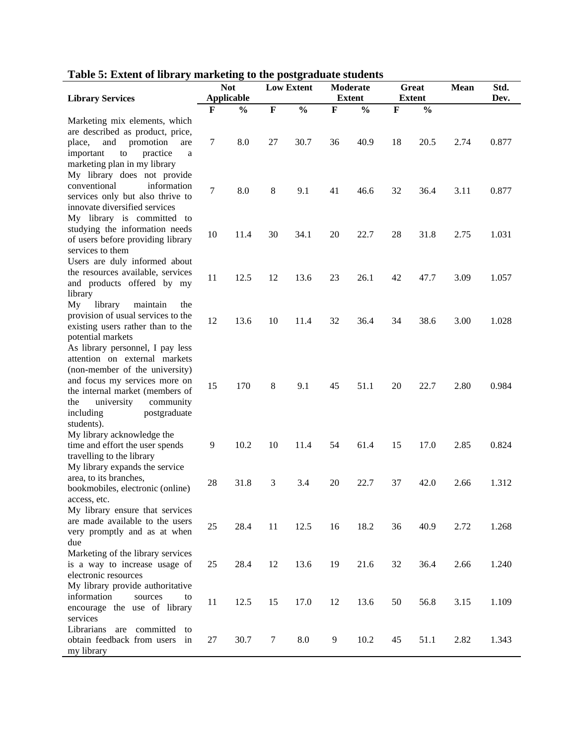|  | Table 5: Extent of library marketing to the postgraduate students |
|--|-------------------------------------------------------------------|
|  |                                                                   |

|                                    | <b>Not</b> |                   |                | <b>Low Extent</b> |                | <b>Moderate</b> | Great       |               | Mean | Std.  |
|------------------------------------|------------|-------------------|----------------|-------------------|----------------|-----------------|-------------|---------------|------|-------|
| <b>Library Services</b>            |            | <b>Applicable</b> |                |                   |                | <b>Extent</b>   |             | <b>Extent</b> |      | Dev.  |
|                                    | F          | $\frac{0}{0}$     | $\mathbf F$    | $\frac{0}{0}$     | $\mathbf F$    | $\frac{0}{0}$   | $\mathbf F$ | $\frac{0}{0}$ |      |       |
| Marketing mix elements, which      |            |                   |                |                   |                |                 |             |               |      |       |
| are described as product, price,   |            |                   |                |                   |                |                 |             |               |      |       |
| and<br>place,<br>promotion<br>are  | 7          | 8.0               | 27             | 30.7              | 36             | 40.9            | 18          | 20.5          | 2.74 | 0.877 |
| important<br>practice<br>to<br>a   |            |                   |                |                   |                |                 |             |               |      |       |
| marketing plan in my library       |            |                   |                |                   |                |                 |             |               |      |       |
| My library does not provide        |            |                   |                |                   |                |                 |             |               |      |       |
| conventional<br>information        | 7          | 8.0               | $\,8\,$        | 9.1               | 41             | 46.6            | 32          | 36.4          |      | 0.877 |
| services only but also thrive to   |            |                   |                |                   |                |                 |             |               | 3.11 |       |
| innovate diversified services      |            |                   |                |                   |                |                 |             |               |      |       |
| My library is committed to         |            |                   |                |                   |                |                 |             |               |      |       |
| studying the information needs     | 10         |                   | 30             |                   |                | 22.7            |             |               |      |       |
| of users before providing library  |            | 11.4              |                | 34.1              | 20             |                 | 28          | 31.8          | 2.75 | 1.031 |
| services to them                   |            |                   |                |                   |                |                 |             |               |      |       |
| Users are duly informed about      |            |                   |                |                   |                |                 |             |               |      |       |
| the resources available, services  | 11         | 12.5              | 12             |                   | 23             |                 |             |               |      |       |
| and products offered by my         |            |                   |                | 13.6              |                | 26.1            | 42          | 47.7          | 3.09 | 1.057 |
| library                            |            |                   |                |                   |                |                 |             |               |      |       |
| My<br>library<br>maintain<br>the   |            |                   |                |                   |                |                 |             |               |      |       |
| provision of usual services to the |            |                   |                |                   |                |                 |             |               |      |       |
| existing users rather than to the  | 12         | 13.6              | 10             | 11.4              | 32             | 36.4            | 34          | 38.6          | 3.00 | 1.028 |
| potential markets                  |            |                   |                |                   |                |                 |             |               |      |       |
| As library personnel, I pay less   |            |                   |                |                   |                |                 |             |               |      |       |
| attention on external markets      |            |                   |                |                   |                |                 |             |               |      |       |
| (non-member of the university)     |            |                   |                |                   |                |                 |             |               |      |       |
| and focus my services more on      |            |                   |                |                   |                |                 |             |               |      |       |
| the internal market (members of    | 15         | 170               | $\,8\,$        | 9.1               | 45             | 51.1            | 20          | 22.7          | 2.80 | 0.984 |
| university<br>community<br>the     |            |                   |                |                   |                |                 |             |               |      |       |
| postgraduate<br>including          |            |                   |                |                   |                |                 |             |               |      |       |
| students).                         |            |                   |                |                   |                |                 |             |               |      |       |
| My library acknowledge the         |            |                   |                |                   |                |                 |             |               |      |       |
| time and effort the user spends    | 9          | 10.2              | 10             | 11.4              | 54             | 61.4            | 15          | 17.0          | 2.85 | 0.824 |
| travelling to the library          |            |                   |                |                   |                |                 |             |               |      |       |
| My library expands the service     |            |                   |                |                   |                |                 |             |               |      |       |
| area, to its branches,             |            | 31.8              |                |                   |                |                 |             |               |      |       |
| bookmobiles, electronic (online)   | 28         |                   | 3              | 3.4               | 20             | 22.7            | 37          | 42.0          | 2.66 | 1.312 |
| access, etc.                       |            |                   |                |                   |                |                 |             |               |      |       |
| My library ensure that services    |            |                   |                |                   |                |                 |             |               |      |       |
| are made available to the users    | 25         |                   |                |                   |                | 18.2            |             |               |      |       |
| very promptly and as at when       |            | 28.4              | 11             | 12.5              | 16             |                 | 36          | 40.9          | 2.72 | 1.268 |
| due                                |            |                   |                |                   |                |                 |             |               |      |       |
| Marketing of the library services  |            |                   |                |                   |                |                 |             |               |      |       |
| is a way to increase usage of      | 25         | 28.4              | 12             | 13.6              | 19             | 21.6            | 32          | 36.4          | 2.66 | 1.240 |
| electronic resources               |            |                   |                |                   |                |                 |             |               |      |       |
| My library provide authoritative   |            |                   |                |                   |                |                 |             |               |      |       |
| information<br>sources<br>to       |            |                   |                |                   |                |                 |             |               |      |       |
| encourage the use of library       | 11         | 12.5              | 15             | 17.0              | 12             | 13.6            | 50          | 56.8          | 3.15 | 1.109 |
| services                           |            |                   |                |                   |                |                 |             |               |      |       |
| Librarians are<br>committed<br>to  |            |                   |                |                   |                |                 |             |               |      |       |
| obtain feedback from users<br>in   | 27         | 30.7              | $\overline{7}$ | 8.0               | $\overline{9}$ | 10.2            | 45          | 51.1          | 2.82 | 1.343 |
| my library                         |            |                   |                |                   |                |                 |             |               |      |       |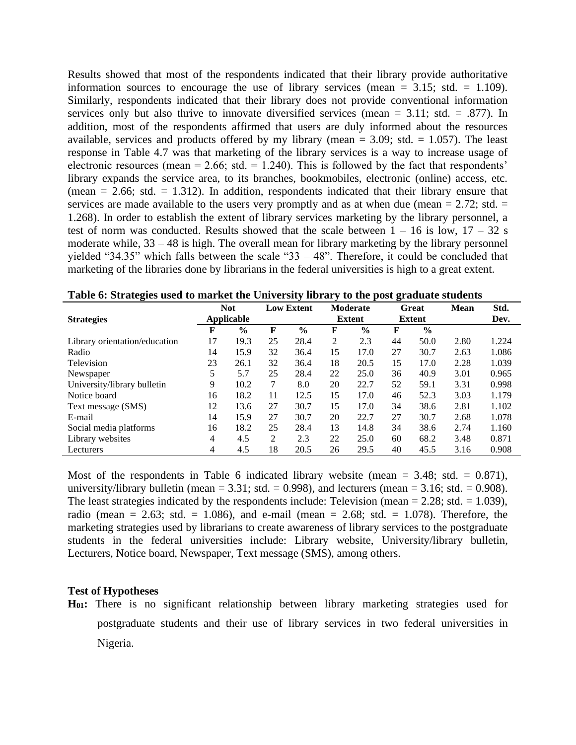Results showed that most of the respondents indicated that their library provide authoritative information sources to encourage the use of library services (mean  $= 3.15$ ; std.  $= 1.109$ ). Similarly, respondents indicated that their library does not provide conventional information services only but also thrive to innovate diversified services (mean  $= 3.11$ ; std.  $= .877$ ). In addition, most of the respondents affirmed that users are duly informed about the resources available, services and products offered by my library (mean  $= 3.09$ ; std.  $= 1.057$ ). The least response in Table 4.7 was that marketing of the library services is a way to increase usage of electronic resources (mean  $= 2.66$ ; std.  $= 1.240$ ). This is followed by the fact that respondents' library expands the service area, to its branches, bookmobiles, electronic (online) access, etc. (mean  $= 2.66$ ; std.  $= 1.312$ ). In addition, respondents indicated that their library ensure that services are made available to the users very promptly and as at when due (mean  $= 2.72$ ; std.  $=$ 1.268). In order to establish the extent of library services marketing by the library personnel, a test of norm was conducted. Results showed that the scale between  $1 - 16$  is low,  $17 - 32$  s moderate while, 33 – 48 is high. The overall mean for library marketing by the library personnel yielded "34.35" which falls between the scale "33  $-48$ ". Therefore, it could be concluded that marketing of the libraries done by librarians in the federal universities is high to a great extent.

|                               | <b>Not</b> |               |    | <b>Low Extent</b> | <b>Moderate</b> |               | <b>Great</b> |               | <b>Mean</b> | Std.  |
|-------------------------------|------------|---------------|----|-------------------|-----------------|---------------|--------------|---------------|-------------|-------|
| <b>Strategies</b>             | Applicable |               |    |                   |                 | <b>Extent</b> |              | <b>Extent</b> |             | Dev.  |
|                               | F          | $\frac{0}{0}$ | F  | $\%$              | F               | $\frac{0}{0}$ | F            | $\frac{6}{9}$ |             |       |
| Library orientation/education | 17         | 19.3          | 25 | 28.4              | 2               | 2.3           | 44           | 50.0          | 2.80        | 1.224 |
| Radio                         | 14         | 15.9          | 32 | 36.4              | 15              | 17.0          | 27           | 30.7          | 2.63        | 1.086 |
| Television                    | 23         | 26.1          | 32 | 36.4              | 18              | 20.5          | 15           | 17.0          | 2.28        | 1.039 |
| Newspaper                     | 5          | 5.7           | 25 | 28.4              | 22              | 25.0          | 36           | 40.9          | 3.01        | 0.965 |
| University/library bulletin   | 9          | 10.2          | 7  | 8.0               | 20              | 22.7          | 52           | 59.1          | 3.31        | 0.998 |
| Notice board                  | 16         | 18.2          | 11 | 12.5              | 15              | 17.0          | 46           | 52.3          | 3.03        | 1.179 |
| Text message (SMS)            | 12         | 13.6          | 27 | 30.7              | 15              | 17.0          | 34           | 38.6          | 2.81        | 1.102 |
| E-mail                        | 14         | 15.9          | 27 | 30.7              | 20              | 22.7          | 27           | 30.7          | 2.68        | 1.078 |
| Social media platforms        | 16         | 18.2          | 25 | 28.4              | 13              | 14.8          | 34           | 38.6          | 2.74        | 1.160 |
| Library websites              | 4          | 4.5           | 2  | 2.3               | 22              | 25.0          | 60           | 68.2          | 3.48        | 0.871 |
| Lecturers                     | 4          | 4.5           | 18 | 20.5              | 26              | 29.5          | 40           | 45.5          | 3.16        | 0.908 |

|  | Table 6: Strategies used to market the University library to the post graduate students |  |  |  |
|--|-----------------------------------------------------------------------------------------|--|--|--|
|  |                                                                                         |  |  |  |

Most of the respondents in Table 6 indicated library website (mean  $= 3.48$ ; std.  $= 0.871$ ), university/library bulletin (mean  $= 3.31$ ; std.  $= 0.998$ ), and lecturers (mean  $= 3.16$ ; std.  $= 0.908$ ). The least strategies indicated by the respondents include: Television (mean  $= 2.28$ ; std.  $= 1.039$ ), radio (mean = 2.63; std. = 1.086), and e-mail (mean = 2.68; std. = 1.078). Therefore, the marketing strategies used by librarians to create awareness of library services to the postgraduate students in the federal universities include: Library website, University/library bulletin, Lecturers, Notice board, Newspaper, Text message (SMS), among others.

#### **Test of Hypotheses**

**H01:** There is no significant relationship between library marketing strategies used for postgraduate students and their use of library services in two federal universities in Nigeria.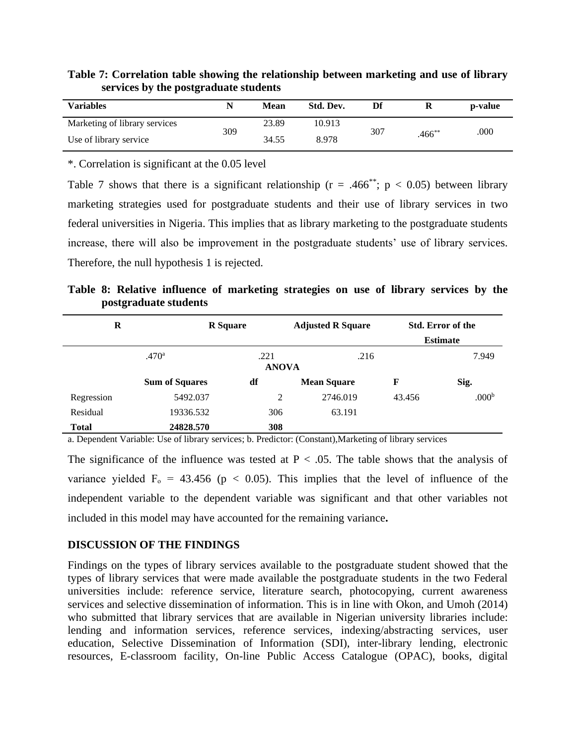| Table 7: Correlation table showing the relationship between marketing and use of library |  |
|------------------------------------------------------------------------------------------|--|
| services by the postgraduate students                                                    |  |

| <b>Variables</b>              |     | Mean  | Std. Dev. | Df  |             | p-value |
|-------------------------------|-----|-------|-----------|-----|-------------|---------|
| Marketing of library services | 309 | 23.89 | 10.913    | 307 |             | .000    |
| Use of library service        |     | 34.55 | 8.978     |     | $.466^{**}$ |         |

\*. Correlation is significant at the 0.05 level

Table 7 shows that there is a significant relationship ( $r = .466^{**}$ ;  $p < 0.05$ ) between library marketing strategies used for postgraduate students and their use of library services in two federal universities in Nigeria. This implies that as library marketing to the postgraduate students increase, there will also be improvement in the postgraduate students' use of library services. Therefore, the null hypothesis 1 is rejected.

**Table 8: Relative influence of marketing strategies on use of library services by the postgraduate students**

| $\bf{R}$     |                       | <b>R</b> Square      | <b>Adjusted R Square</b> |        | <b>Std. Error of the</b> |  |  |
|--------------|-----------------------|----------------------|--------------------------|--------|--------------------------|--|--|
|              |                       |                      |                          |        | <b>Estimate</b>          |  |  |
|              | .470 <sup>a</sup>     | .221<br><b>ANOVA</b> | .216                     | 7.949  |                          |  |  |
|              | <b>Sum of Squares</b> | df                   | <b>Mean Square</b>       | F      | Sig.                     |  |  |
| Regression   | 5492.037              | 2                    | 2746.019                 | 43.456 | .000 <sup>b</sup>        |  |  |
| Residual     | 19336.532             | 306                  | 63.191                   |        |                          |  |  |
| <b>Total</b> | 24828.570             | 308                  |                          |        |                          |  |  |

a. Dependent Variable: Use of library services; b. Predictor: (Constant),Marketing of library services

The significance of the influence was tested at  $P < .05$ . The table shows that the analysis of variance yielded  $F_0 = 43.456$  (p < 0.05). This implies that the level of influence of the independent variable to the dependent variable was significant and that other variables not included in this model may have accounted for the remaining variance**.**

#### **DISCUSSION OF THE FINDINGS**

Findings on the types of library services available to the postgraduate student showed that the types of library services that were made available the postgraduate students in the two Federal universities include: reference service, literature search, photocopying, current awareness services and selective dissemination of information. This is in line with Okon, and Umoh (2014) who submitted that library services that are available in Nigerian university libraries include: lending and information services, reference services, indexing/abstracting services, user education, Selective Dissemination of Information (SDI), inter-library lending, electronic resources, E-classroom facility, On-line Public Access Catalogue (OPAC), books, digital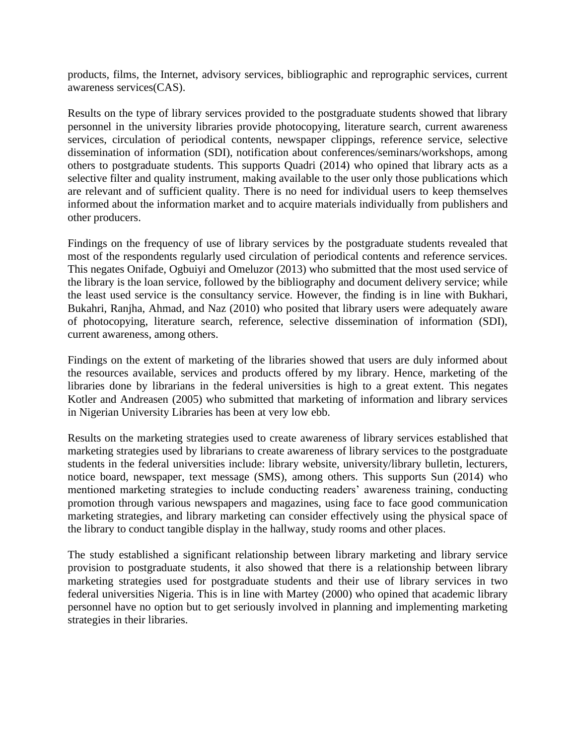products, films, the Internet, advisory services, bibliographic and reprographic services, current awareness services(CAS).

Results on the type of library services provided to the postgraduate students showed that library personnel in the university libraries provide photocopying, literature search, current awareness services, circulation of periodical contents, newspaper clippings, reference service, selective dissemination of information (SDI), notification about conferences/seminars/workshops, among others to postgraduate students. This supports Quadri (2014) who opined that library acts as a selective filter and quality instrument, making available to the user only those publications which are relevant and of sufficient quality. There is no need for individual users to keep themselves informed about the information market and to acquire materials individually from publishers and other producers.

Findings on the frequency of use of library services by the postgraduate students revealed that most of the respondents regularly used circulation of periodical contents and reference services. This negates Onifade, Ogbuiyi and Omeluzor (2013) who submitted that the most used service of the library is the loan service, followed by the bibliography and document delivery service; while the least used service is the consultancy service. However, the finding is in line with Bukhari, Bukahri, Ranjha, Ahmad, and Naz (2010) who posited that library users were adequately aware of photocopying, literature search, reference, selective dissemination of information (SDI), current awareness, among others.

Findings on the extent of marketing of the libraries showed that users are duly informed about the resources available, services and products offered by my library. Hence, marketing of the libraries done by librarians in the federal universities is high to a great extent. This negates Kotler and Andreasen (2005) who submitted that marketing of information and library services in Nigerian University Libraries has been at very low ebb.

Results on the marketing strategies used to create awareness of library services established that marketing strategies used by librarians to create awareness of library services to the postgraduate students in the federal universities include: library website, university/library bulletin, lecturers, notice board, newspaper, text message (SMS), among others. This supports Sun (2014) who mentioned marketing strategies to include conducting readers' awareness training, conducting promotion through various newspapers and magazines, using face to face good communication marketing strategies, and library marketing can consider effectively using the physical space of the library to conduct tangible display in the hallway, study rooms and other places.

The study established a significant relationship between library marketing and library service provision to postgraduate students, it also showed that there is a relationship between library marketing strategies used for postgraduate students and their use of library services in two federal universities Nigeria. This is in line with Martey (2000) who opined that academic library personnel have no option but to get seriously involved in planning and implementing marketing strategies in their libraries.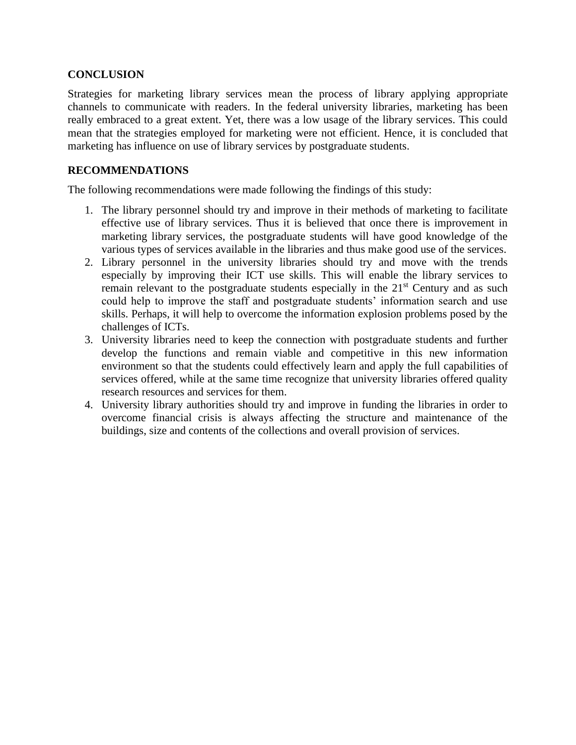#### **CONCLUSION**

Strategies for marketing library services mean the process of library applying appropriate channels to communicate with readers. In the federal university libraries, marketing has been really embraced to a great extent. Yet, there was a low usage of the library services. This could mean that the strategies employed for marketing were not efficient. Hence, it is concluded that marketing has influence on use of library services by postgraduate students.

#### **RECOMMENDATIONS**

The following recommendations were made following the findings of this study:

- 1. The library personnel should try and improve in their methods of marketing to facilitate effective use of library services. Thus it is believed that once there is improvement in marketing library services, the postgraduate students will have good knowledge of the various types of services available in the libraries and thus make good use of the services.
- 2. Library personnel in the university libraries should try and move with the trends especially by improving their ICT use skills. This will enable the library services to remain relevant to the postgraduate students especially in the  $21<sup>st</sup>$  Century and as such could help to improve the staff and postgraduate students' information search and use skills. Perhaps, it will help to overcome the information explosion problems posed by the challenges of ICTs.
- 3. University libraries need to keep the connection with postgraduate students and further develop the functions and remain viable and competitive in this new information environment so that the students could effectively learn and apply the full capabilities of services offered, while at the same time recognize that university libraries offered quality research resources and services for them.
- 4. University library authorities should try and improve in funding the libraries in order to overcome financial crisis is always affecting the structure and maintenance of the buildings, size and contents of the collections and overall provision of services.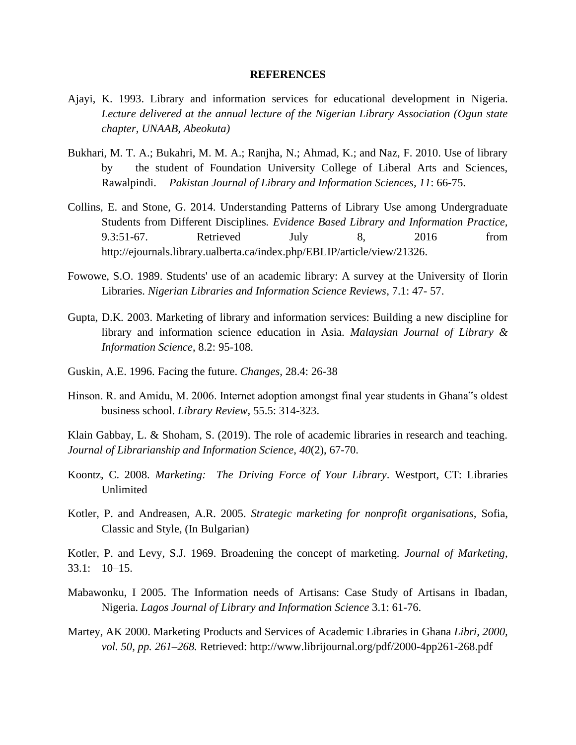#### **REFERENCES**

- Ajayi, K. 1993. Library and information services for educational development in Nigeria. *Lecture delivered at the annual lecture of the Nigerian Library Association (Ogun state chapter, UNAAB, Abeokuta)*
- Bukhari, M. T. A.; Bukahri, M. M. A.; Ranjha, N.; Ahmad, K.; and Naz, F. 2010. Use of library by the student of Foundation University College of Liberal Arts and Sciences, Rawalpindi. *Pakistan Journal of Library and Information Sciences, 11*: 66-75.
- Collins, E. and Stone, G. 2014. Understanding Patterns of Library Use among Undergraduate Students from Different Disciplines*. Evidence Based Library and Information Practice,*  9.3:51-67. Retrieved July 8, 2016 from http://ejournals.library.ualberta.ca/index.php/EBLIP/article/view/21326.
- Fowowe, S.O. 1989. Students' use of an academic library: A survey at the University of Ilorin Libraries. *Nigerian Libraries and Information Science Reviews*, 7.1: 47- 57.
- Gupta, D.K. 2003. Marketing of library and information services: Building a new discipline for library and information science education in Asia. *Malaysian Journal of Library & Information Science*, 8.2: 95-108.
- Guskin, A.E. 1996. Facing the future. *Changes,* 28.4: 26-38
- Hinson. R. and Amidu, M. 2006. Internet adoption amongst final year students in Ghana"s oldest business school. *Library Review,* 55.5: 314-323.

Klain Gabbay, L. & Shoham, S. (2019). The role of academic libraries in research and teaching. *Journal of Librarianship and Information Science*, *40*(2), 67-70.

- Koontz, C. 2008. *Marketing: The Driving Force of Your Library*. Westport, CT: Libraries Unlimited
- Kotler, P. and Andreasen, A.R. 2005. *Strategic marketing for nonprofit organisations,* Sofia, Classic and Style, (In Bulgarian)

Kotler, P. and Levy, S.J. 1969. Broadening the concept of marketing. *Journal of Marketing*, 33.1: 10–15.

- Mabawonku, I 2005. The Information needs of Artisans: Case Study of Artisans in Ibadan, Nigeria. *Lagos Journal of Library and Information Science* 3.1: 61-76.
- Martey, AK 2000. Marketing Products and Services of Academic Libraries in Ghana *Libri, 2000, vol. 50, pp. 261–268.* Retrieved: http://www.librijournal.org/pdf/2000-4pp261-268.pdf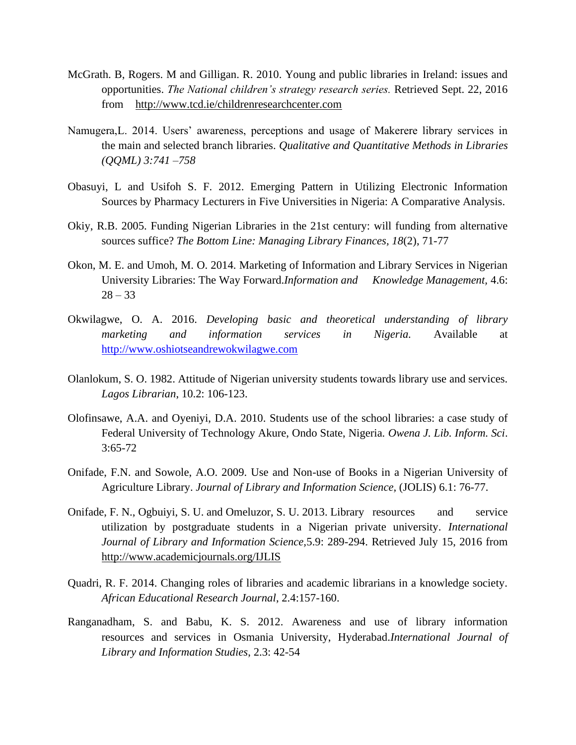- McGrath. B, Rogers. M and Gilligan. R. 2010. Young and public libraries in Ireland: issues and opportunities. *The National children's strategy research series.* Retrieved Sept. 22, 2016 from <http://www.tcd.ie/childrenresearchcenter.com>
- Namugera,L. 2014. Users' awareness, perceptions and usage of Makerere library services in the main and selected branch libraries. *Qualitative and Quantitative Methods in Libraries (QQML) 3:741 –758*
- Obasuyi, L and Usifoh S. F. 2012. Emerging Pattern in Utilizing Electronic Information Sources by Pharmacy Lecturers in Five Universities in Nigeria: A Comparative Analysis.
- Okiy, R.B. 2005. Funding Nigerian Libraries in the 21st century: will funding from alternative sources suffice? *The Bottom Line: Managing Library Finances, 18*(2), 71-77
- Okon, M. E. and Umoh, M. O. 2014. Marketing of Information and Library Services in Nigerian University Libraries: The Way Forward.*Information and Knowledge Management,* 4.6:  $28 - 33$
- Okwilagwe, O. A. 2016. *Developing basic and theoretical understanding of library marketing and information services in Nigeria.* Available at [http://www.oshiotseandrewokwilagwe.com](http://www.oshiotseandrewokwilagwe.com/)
- Olanlokum, S. O. 1982. Attitude of Nigerian university students towards library use and services. *Lagos Librarian*, 10.2: 106-123.
- Olofinsawe, A.A. and Oyeniyi, D.A. 2010. Students use of the school libraries: a case study of Federal University of Technology Akure, Ondo State, Nigeria. *Owena J. Lib. Inform. Sci*. 3:65-72
- Onifade, F.N. and Sowole, A.O. 2009. Use and Non-use of Books in a Nigerian University of Agriculture Library. *Journal of Library and Information Science,* (JOLIS) 6.1: 76-77.
- Onifade, F. N., Ogbuiyi, S. U. and Omeluzor, S. U. 2013. Library resources and service utilization by postgraduate students in a Nigerian private university. *International Journal of Library and Information Science,*5.9: 289-294. Retrieved July 15, 2016 from <http://www.academicjournals.org/IJLIS>
- Quadri, R. F. 2014. Changing roles of libraries and academic librarians in a knowledge society. *African Educational Research Journal*, 2.4:157-160.
- Ranganadham, S. and Babu, K. S. 2012. Awareness and use of library information resources and services in Osmania University, Hyderabad.*International Journal of Library and Information Studies*, 2.3: 42-54